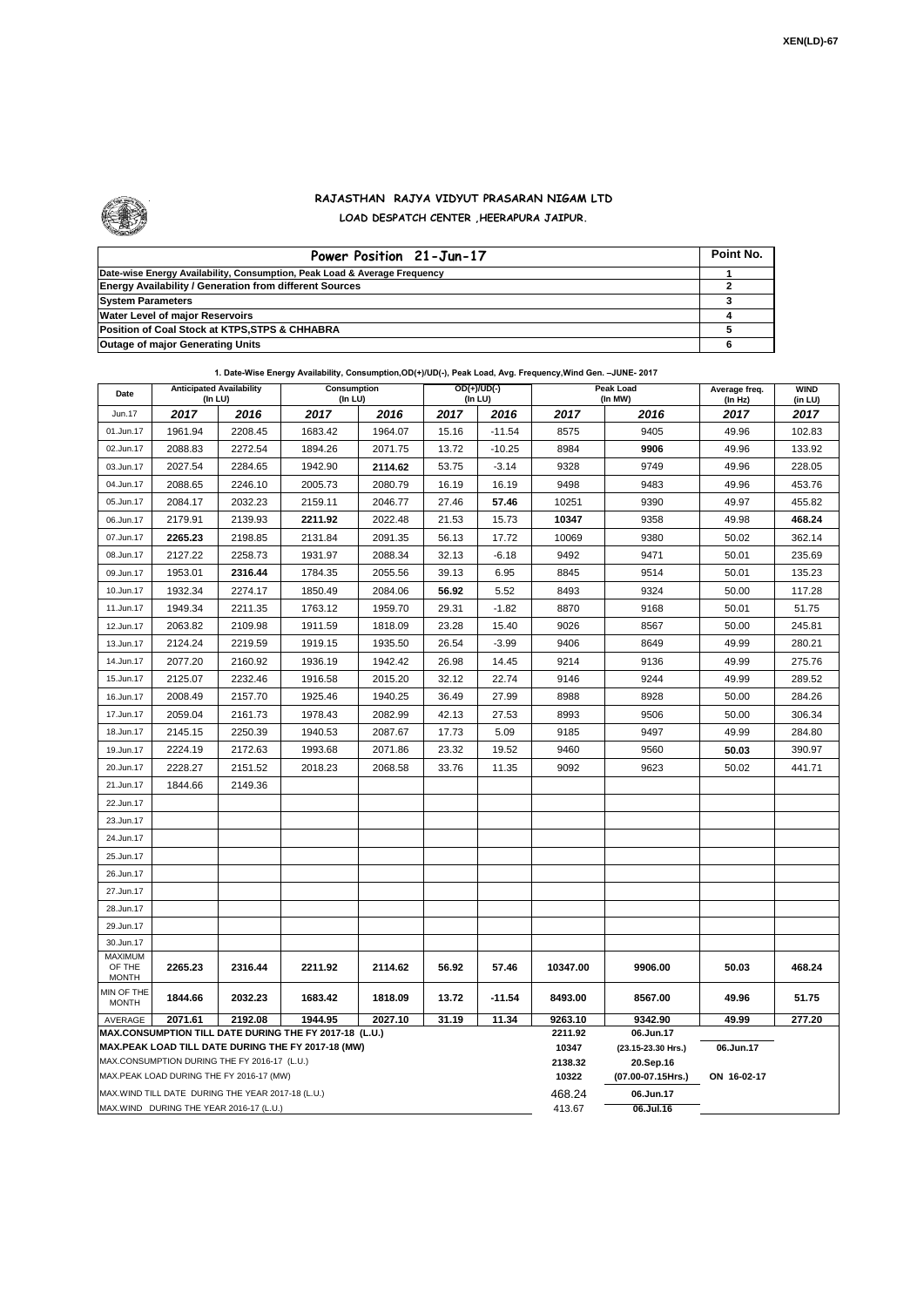

## **RAJASTHAN RAJYA VIDYUT PRASARAN NIGAM LTD LOAD DESPATCH CENTER ,HEERAPURA JAIPUR.**

| Power Position 21-Jun-17                                                  | Point No. |
|---------------------------------------------------------------------------|-----------|
| Date-wise Energy Availability, Consumption, Peak Load & Average Frequency |           |
| <b>Energy Availability / Generation from different Sources</b>            |           |
| <b>System Parameters</b>                                                  |           |
| <b>Water Level of major Reservoirs</b>                                    |           |
| Position of Coal Stock at KTPS, STPS & CHHABRA                            |           |
| Outage of major Generating Units                                          |           |

| Date                                                                                                                | 1. Date-Wise Energy Availability, Consumption,OD(+)/UD(-), Peak Load, Avg. Frequency,Wind Gen. –JUNE- 2017<br><b>Anticipated Availability</b><br>Consumption<br>(In LU)<br>(In LU) |         |         |         | $OD(+)/UD(-)$<br>(In LU) |          | Peak Load<br>(In MW) | Average freq.<br>(In Hz)        | <b>WIND</b><br>(in LU) |        |  |  |
|---------------------------------------------------------------------------------------------------------------------|------------------------------------------------------------------------------------------------------------------------------------------------------------------------------------|---------|---------|---------|--------------------------|----------|----------------------|---------------------------------|------------------------|--------|--|--|
| Jun.17                                                                                                              | 2017                                                                                                                                                                               | 2016    | 2017    | 2016    | 2017                     | 2016     | 2017                 | 2016                            | 2017                   | 2017   |  |  |
| 01.Jun.17                                                                                                           | 1961.94                                                                                                                                                                            | 2208.45 | 1683.42 | 1964.07 | 15.16                    | $-11.54$ | 8575                 | 9405                            | 49.96                  | 102.83 |  |  |
| 02.Jun.17                                                                                                           | 2088.83                                                                                                                                                                            | 2272.54 | 1894.26 | 2071.75 | 13.72                    | $-10.25$ | 8984                 | 9906                            | 49.96                  | 133.92 |  |  |
| 03.Jun.17                                                                                                           | 2027.54                                                                                                                                                                            | 2284.65 | 1942.90 | 2114.62 | 53.75                    | $-3.14$  | 9328                 | 9749                            | 49.96                  | 228.05 |  |  |
| 04.Jun.17                                                                                                           | 2088.65                                                                                                                                                                            | 2246.10 | 2005.73 | 2080.79 | 16.19                    | 16.19    | 9498                 | 9483                            | 49.96                  | 453.76 |  |  |
| 05.Jun.17                                                                                                           | 2084.17                                                                                                                                                                            | 2032.23 | 2159.11 | 2046.77 | 27.46                    | 57.46    | 10251                | 9390                            | 49.97                  | 455.82 |  |  |
| 06.Jun.17                                                                                                           | 2179.91                                                                                                                                                                            | 2139.93 | 2211.92 | 2022.48 | 21.53                    | 15.73    | 10347                | 9358                            | 49.98                  | 468.24 |  |  |
| 07.Jun.17                                                                                                           | 2265.23                                                                                                                                                                            | 2198.85 | 2131.84 | 2091.35 | 56.13                    | 17.72    | 10069                | 9380                            | 50.02                  | 362.14 |  |  |
| 08.Jun.17                                                                                                           | 2127.22                                                                                                                                                                            | 2258.73 | 1931.97 | 2088.34 | 32.13                    | $-6.18$  | 9492                 | 9471<br>50.01                   |                        | 235.69 |  |  |
| 09.Jun.17                                                                                                           | 1953.01                                                                                                                                                                            | 2316.44 | 1784.35 | 2055.56 | 39.13                    | 6.95     | 8845                 | 9514                            | 50.01                  | 135.23 |  |  |
| 10.Jun.17                                                                                                           | 1932.34                                                                                                                                                                            | 2274.17 | 1850.49 | 2084.06 | 56.92                    | 5.52     | 8493                 | 9324<br>50.00                   |                        | 117.28 |  |  |
| 11.Jun.17                                                                                                           | 1949.34                                                                                                                                                                            | 2211.35 | 1763.12 | 1959.70 | 29.31                    | $-1.82$  | 8870                 | 9168                            | 50.01                  | 51.75  |  |  |
| 12.Jun.17                                                                                                           | 2063.82                                                                                                                                                                            | 2109.98 | 1911.59 | 1818.09 | 23.28                    | 15.40    | 9026                 | 8567                            | 50.00                  | 245.81 |  |  |
| 13.Jun.17                                                                                                           | 2124.24                                                                                                                                                                            | 2219.59 | 1919.15 | 1935.50 | 26.54                    | $-3.99$  | 9406                 | 8649                            | 49.99                  | 280.21 |  |  |
| 14.Jun.17                                                                                                           | 2077.20                                                                                                                                                                            | 2160.92 | 1936.19 | 1942.42 | 26.98                    | 14.45    | 9214                 | 9136                            | 49.99                  | 275.76 |  |  |
| 15.Jun.17                                                                                                           | 2125.07                                                                                                                                                                            | 2232.46 | 1916.58 | 2015.20 | 32.12                    | 22.74    | 9146                 | 9244                            | 49.99                  | 289.52 |  |  |
| 16.Jun.17                                                                                                           | 2008.49                                                                                                                                                                            | 2157.70 | 1925.46 | 1940.25 | 36.49                    | 27.99    | 8988                 | 8928                            | 50.00                  | 284.26 |  |  |
| 17.Jun.17                                                                                                           | 2059.04                                                                                                                                                                            | 2161.73 | 1978.43 | 2082.99 | 42.13                    | 27.53    | 8993                 | 9506                            | 50.00                  | 306.34 |  |  |
| 18.Jun.17                                                                                                           | 2145.15                                                                                                                                                                            | 2250.39 | 1940.53 | 2087.67 | 17.73                    | 5.09     | 9185                 | 9497                            | 49.99                  | 284.80 |  |  |
| 19.Jun.17                                                                                                           | 2224.19                                                                                                                                                                            | 2172.63 | 1993.68 | 2071.86 | 23.32                    | 19.52    | 9460                 | 9560                            | 50.03                  | 390.97 |  |  |
| 20.Jun.17                                                                                                           | 2228.27                                                                                                                                                                            | 2151.52 | 2018.23 | 2068.58 | 33.76                    | 11.35    | 9092                 | 9623                            | 50.02                  | 441.71 |  |  |
| 21.Jun.17                                                                                                           | 1844.66                                                                                                                                                                            | 2149.36 |         |         |                          |          |                      |                                 |                        |        |  |  |
| 22.Jun.17                                                                                                           |                                                                                                                                                                                    |         |         |         |                          |          |                      |                                 |                        |        |  |  |
| 23.Jun.17                                                                                                           |                                                                                                                                                                                    |         |         |         |                          |          |                      |                                 |                        |        |  |  |
| 24.Jun.17                                                                                                           |                                                                                                                                                                                    |         |         |         |                          |          |                      |                                 |                        |        |  |  |
| 25.Jun.17                                                                                                           |                                                                                                                                                                                    |         |         |         |                          |          |                      |                                 |                        |        |  |  |
| 26.Jun.17                                                                                                           |                                                                                                                                                                                    |         |         |         |                          |          |                      |                                 |                        |        |  |  |
| 27.Jun.17                                                                                                           |                                                                                                                                                                                    |         |         |         |                          |          |                      |                                 |                        |        |  |  |
| 28.Jun.17                                                                                                           |                                                                                                                                                                                    |         |         |         |                          |          |                      |                                 |                        |        |  |  |
| 29.Jun.17                                                                                                           |                                                                                                                                                                                    |         |         |         |                          |          |                      |                                 |                        |        |  |  |
| 30.Jun.17                                                                                                           |                                                                                                                                                                                    |         |         |         |                          |          |                      |                                 |                        |        |  |  |
| <b>MAXIMUM</b><br>OF THE                                                                                            | 2265.23                                                                                                                                                                            | 2316.44 | 2211.92 | 2114.62 | 56.92                    | 57.46    | 10347.00             | 9906.00                         | 50.03                  | 468.24 |  |  |
| <b>MONTH</b>                                                                                                        |                                                                                                                                                                                    |         |         |         |                          |          |                      |                                 |                        |        |  |  |
| MIN OF THE<br><b>MONTH</b>                                                                                          | 1844.66                                                                                                                                                                            | 2032.23 | 1683.42 | 1818.09 | 13.72                    | $-11.54$ | 8493.00              | 8567.00                         | 49.96                  | 51.75  |  |  |
| AVERAGE                                                                                                             | 2071.61<br>2192.08<br>1944.95<br>2027.10<br>31.19<br>11.34                                                                                                                         |         |         |         |                          |          |                      | 9342.90                         | 49.99                  | 277.20 |  |  |
| MAX.CONSUMPTION TILL DATE DURING THE FY 2017-18 (L.U.)<br><b>MAX.PEAK LOAD TILL DATE DURING THE FY 2017-18 (MW)</b> |                                                                                                                                                                                    |         |         |         |                          |          | 2211.92<br>10347     | 06.Jun.17<br>(23.15-23.30 Hrs.) | 06.Jun.17              |        |  |  |
| MAX.CONSUMPTION DURING THE FY 2016-17 (L.U.)                                                                        |                                                                                                                                                                                    |         |         |         |                          | 2138.32  | 20.Sep.16            |                                 |                        |        |  |  |
| MAX.PEAK LOAD DURING THE FY 2016-17 (MW)                                                                            |                                                                                                                                                                                    |         |         |         |                          |          | 10322                | (07.00-07.15Hrs.)               | ON 16-02-17            |        |  |  |
| MAX.WIND TILL DATE DURING THE YEAR 2017-18 (L.U.)                                                                   |                                                                                                                                                                                    |         |         |         |                          |          | 468.24               | 06.Jun.17                       |                        |        |  |  |
| MAX.WIND DURING THE YEAR 2016-17 (L.U.)                                                                             |                                                                                                                                                                                    |         |         |         |                          |          |                      | 06.Jul.16                       |                        |        |  |  |

**1. Date-Wise Energy Availability, Consumption,OD(+)/UD(-), Peak Load, Avg. Frequency,Wind Gen. –JUNE- 2017**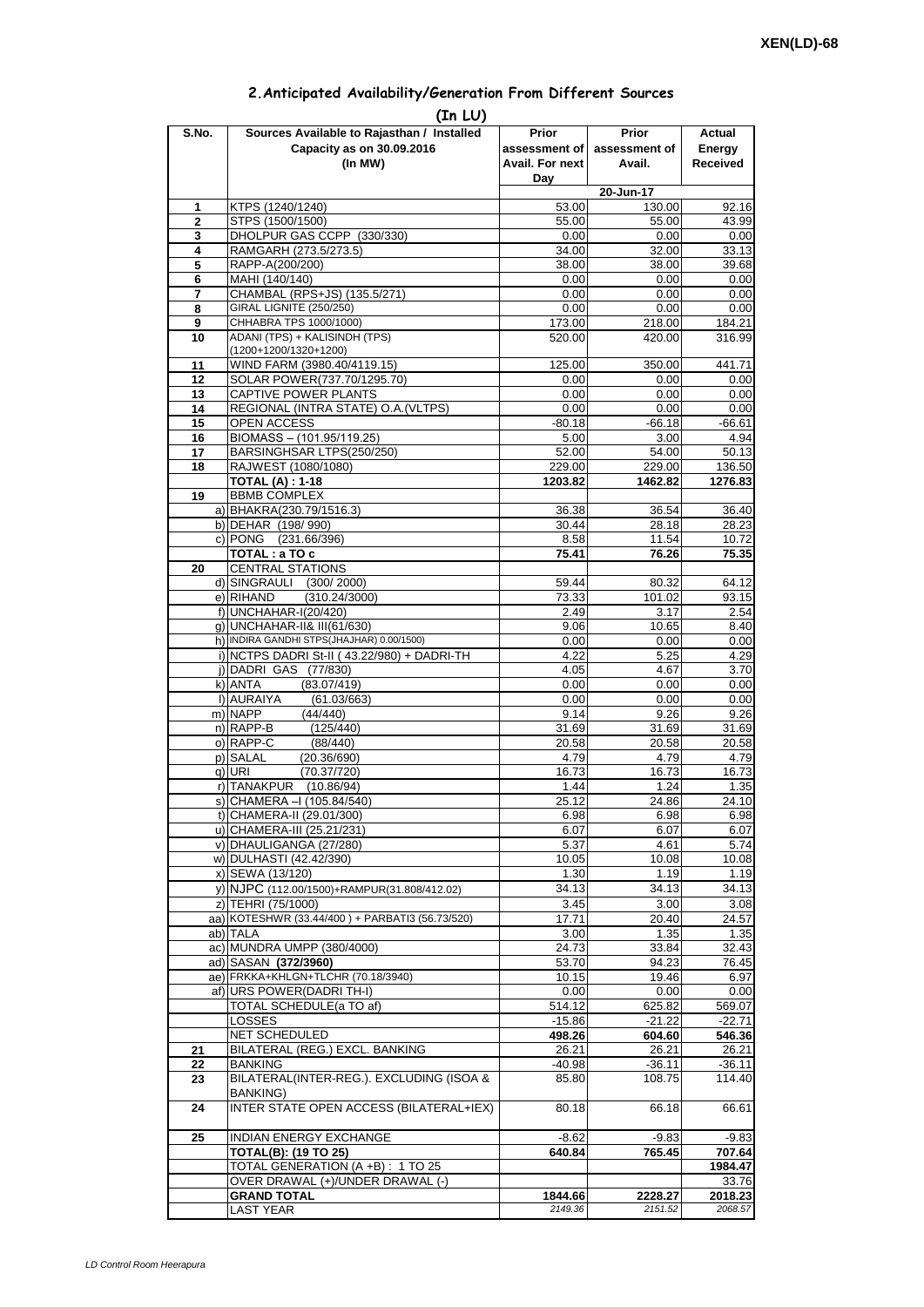| 2. Anticipated Availability/Generation From Different Sources |  |  |  |  |  |  |
|---------------------------------------------------------------|--|--|--|--|--|--|
|---------------------------------------------------------------|--|--|--|--|--|--|

| (In MW)<br>KTPS (1240/1240)<br>1<br>STPS (1500/1500)<br>$\overline{2}$<br>DHOLPUR GAS CCPP (330/330)<br>3<br>RAMGARH (273.5/273.5)<br>4<br>5<br>RAPP-A(200/200)<br>MAHI (140/140)<br>6<br>CHAMBAL (RPS+JS) (135.5/271)<br>7<br>GIRAL LIGNITE (250/250)<br>8<br>CHHABRA TPS 1000/1000)<br>9<br>ADANI (TPS) + KALISINDH (TPS)<br>10<br>(1200+1200/1320+1200)<br>WIND FARM (3980.40/4119.15)<br>11<br>12<br>SOLAR POWER(737.70/1295.70)<br>CAPTIVE POWER PLANTS<br>13<br>REGIONAL (INTRA STATE) O.A. (VLTPS)<br>14<br>OPEN ACCESS<br>15<br>BIOMASS - (101.95/119.25)<br>16<br>BARSINGHSAR LTPS(250/250)<br>17<br>18<br>RAJWEST (1080/1080)<br><b>TOTAL (A): 1-18</b><br>19<br><b>BBMB COMPLEX</b><br>a) BHAKRA(230.79/1516.3)<br>b) DEHAR (198/990)<br>c) PONG (231.66/396)<br>TOTAL : a TO c<br><b>CENTRAL STATIONS</b><br>20<br>d) SINGRAULI<br>(300/2000)<br>e) RIHAND<br>(310.24/3000)<br>f) UNCHAHAR-I(20/420)<br>g) UNCHAHAR-II& III(61/630)<br>h) INDIRA GANDHI STPS(JHAJHAR) 0.00/1500)<br>i) NCTPS DADRI St-II (43.22/980) + DADRI-TH<br>j) DADRI GAS (77/830)<br>k) ANTA<br>(83.07/419)<br>I) AURAIYA<br>(61.03/663)<br>m) NAPP<br>(44/440)<br>n) RAPP-B<br>(125/440)<br>o) RAPP-C<br>(88/440)<br>p) SALAL<br>(20.36/690)<br>q) URI<br>(70.37/720)<br>r) TANAKPUR<br>(10.86/94)<br>s) CHAMERA - (105.84/540)<br>t) CHAMERA-II (29.01/300)<br>u) CHAMERA-III (25.21/231)<br>v) DHAULIGANGA (27/280)<br>w) DULHASTI (42.42/390)<br>x) SEWA (13/120)<br>y) NJPC (112.00/1500)+RAMPUR(31.808/412.02) | Avail. For next<br>Day<br>53.00<br>55.00<br>0.00<br>34.00<br>38.00<br>0.00<br>0.00<br>0.00<br>173.00<br>520.00<br>125.00<br>0.00<br>0.00<br>0.00<br>$-80.18$<br>5.00<br>52.00<br>229.00<br>1203.82<br>36.38<br>30.44<br>8.58<br>75.41<br>59.44<br>73.33<br>2.49<br>9.06<br>0.00<br>4.22 | Avail.<br>20-Jun-17<br>130.00<br>55.00<br>0.00<br>32.00<br>38.00<br>0.00<br>0.00<br>0.00<br>218.00<br>420.00<br>350.00<br>0.00<br>0.00<br>0.00<br>$-66.18$<br>3.00<br>54.00<br>229.00<br>1462.82<br>36.54<br>28.18<br>11.54<br>76.26<br>80.32<br>101.02<br>3.17<br>10.65<br>0.00 | <b>Received</b><br>92.16<br>43.99<br>0.00<br>33.13<br>39.68<br>0.00<br>0.00<br>0.00<br>184.21<br>316.99<br>441.71<br>0.00<br>0.00<br>0.00<br>$-66.61$<br>4.94<br>50.13<br>136.50<br>1276.83<br>36.40<br>28.23<br>10.72<br>75.35<br>64.12<br>93.15<br>2.54<br>8.40<br>0.00<br>4.29 |
|---------------------------------------------------------------------------------------------------------------------------------------------------------------------------------------------------------------------------------------------------------------------------------------------------------------------------------------------------------------------------------------------------------------------------------------------------------------------------------------------------------------------------------------------------------------------------------------------------------------------------------------------------------------------------------------------------------------------------------------------------------------------------------------------------------------------------------------------------------------------------------------------------------------------------------------------------------------------------------------------------------------------------------------------------------------------------------------------------------------------------------------------------------------------------------------------------------------------------------------------------------------------------------------------------------------------------------------------------------------------------------------------------------------------------------------------------------------------------------------------------------|-----------------------------------------------------------------------------------------------------------------------------------------------------------------------------------------------------------------------------------------------------------------------------------------|----------------------------------------------------------------------------------------------------------------------------------------------------------------------------------------------------------------------------------------------------------------------------------|-----------------------------------------------------------------------------------------------------------------------------------------------------------------------------------------------------------------------------------------------------------------------------------|
|                                                                                                                                                                                                                                                                                                                                                                                                                                                                                                                                                                                                                                                                                                                                                                                                                                                                                                                                                                                                                                                                                                                                                                                                                                                                                                                                                                                                                                                                                                         |                                                                                                                                                                                                                                                                                         |                                                                                                                                                                                                                                                                                  |                                                                                                                                                                                                                                                                                   |
|                                                                                                                                                                                                                                                                                                                                                                                                                                                                                                                                                                                                                                                                                                                                                                                                                                                                                                                                                                                                                                                                                                                                                                                                                                                                                                                                                                                                                                                                                                         |                                                                                                                                                                                                                                                                                         |                                                                                                                                                                                                                                                                                  |                                                                                                                                                                                                                                                                                   |
|                                                                                                                                                                                                                                                                                                                                                                                                                                                                                                                                                                                                                                                                                                                                                                                                                                                                                                                                                                                                                                                                                                                                                                                                                                                                                                                                                                                                                                                                                                         |                                                                                                                                                                                                                                                                                         |                                                                                                                                                                                                                                                                                  |                                                                                                                                                                                                                                                                                   |
|                                                                                                                                                                                                                                                                                                                                                                                                                                                                                                                                                                                                                                                                                                                                                                                                                                                                                                                                                                                                                                                                                                                                                                                                                                                                                                                                                                                                                                                                                                         |                                                                                                                                                                                                                                                                                         |                                                                                                                                                                                                                                                                                  |                                                                                                                                                                                                                                                                                   |
|                                                                                                                                                                                                                                                                                                                                                                                                                                                                                                                                                                                                                                                                                                                                                                                                                                                                                                                                                                                                                                                                                                                                                                                                                                                                                                                                                                                                                                                                                                         |                                                                                                                                                                                                                                                                                         |                                                                                                                                                                                                                                                                                  |                                                                                                                                                                                                                                                                                   |
|                                                                                                                                                                                                                                                                                                                                                                                                                                                                                                                                                                                                                                                                                                                                                                                                                                                                                                                                                                                                                                                                                                                                                                                                                                                                                                                                                                                                                                                                                                         |                                                                                                                                                                                                                                                                                         |                                                                                                                                                                                                                                                                                  |                                                                                                                                                                                                                                                                                   |
|                                                                                                                                                                                                                                                                                                                                                                                                                                                                                                                                                                                                                                                                                                                                                                                                                                                                                                                                                                                                                                                                                                                                                                                                                                                                                                                                                                                                                                                                                                         |                                                                                                                                                                                                                                                                                         |                                                                                                                                                                                                                                                                                  |                                                                                                                                                                                                                                                                                   |
|                                                                                                                                                                                                                                                                                                                                                                                                                                                                                                                                                                                                                                                                                                                                                                                                                                                                                                                                                                                                                                                                                                                                                                                                                                                                                                                                                                                                                                                                                                         |                                                                                                                                                                                                                                                                                         |                                                                                                                                                                                                                                                                                  |                                                                                                                                                                                                                                                                                   |
|                                                                                                                                                                                                                                                                                                                                                                                                                                                                                                                                                                                                                                                                                                                                                                                                                                                                                                                                                                                                                                                                                                                                                                                                                                                                                                                                                                                                                                                                                                         |                                                                                                                                                                                                                                                                                         |                                                                                                                                                                                                                                                                                  |                                                                                                                                                                                                                                                                                   |
|                                                                                                                                                                                                                                                                                                                                                                                                                                                                                                                                                                                                                                                                                                                                                                                                                                                                                                                                                                                                                                                                                                                                                                                                                                                                                                                                                                                                                                                                                                         |                                                                                                                                                                                                                                                                                         |                                                                                                                                                                                                                                                                                  |                                                                                                                                                                                                                                                                                   |
|                                                                                                                                                                                                                                                                                                                                                                                                                                                                                                                                                                                                                                                                                                                                                                                                                                                                                                                                                                                                                                                                                                                                                                                                                                                                                                                                                                                                                                                                                                         |                                                                                                                                                                                                                                                                                         |                                                                                                                                                                                                                                                                                  |                                                                                                                                                                                                                                                                                   |
|                                                                                                                                                                                                                                                                                                                                                                                                                                                                                                                                                                                                                                                                                                                                                                                                                                                                                                                                                                                                                                                                                                                                                                                                                                                                                                                                                                                                                                                                                                         |                                                                                                                                                                                                                                                                                         |                                                                                                                                                                                                                                                                                  |                                                                                                                                                                                                                                                                                   |
|                                                                                                                                                                                                                                                                                                                                                                                                                                                                                                                                                                                                                                                                                                                                                                                                                                                                                                                                                                                                                                                                                                                                                                                                                                                                                                                                                                                                                                                                                                         |                                                                                                                                                                                                                                                                                         |                                                                                                                                                                                                                                                                                  |                                                                                                                                                                                                                                                                                   |
|                                                                                                                                                                                                                                                                                                                                                                                                                                                                                                                                                                                                                                                                                                                                                                                                                                                                                                                                                                                                                                                                                                                                                                                                                                                                                                                                                                                                                                                                                                         |                                                                                                                                                                                                                                                                                         |                                                                                                                                                                                                                                                                                  |                                                                                                                                                                                                                                                                                   |
|                                                                                                                                                                                                                                                                                                                                                                                                                                                                                                                                                                                                                                                                                                                                                                                                                                                                                                                                                                                                                                                                                                                                                                                                                                                                                                                                                                                                                                                                                                         |                                                                                                                                                                                                                                                                                         |                                                                                                                                                                                                                                                                                  |                                                                                                                                                                                                                                                                                   |
|                                                                                                                                                                                                                                                                                                                                                                                                                                                                                                                                                                                                                                                                                                                                                                                                                                                                                                                                                                                                                                                                                                                                                                                                                                                                                                                                                                                                                                                                                                         |                                                                                                                                                                                                                                                                                         |                                                                                                                                                                                                                                                                                  |                                                                                                                                                                                                                                                                                   |
|                                                                                                                                                                                                                                                                                                                                                                                                                                                                                                                                                                                                                                                                                                                                                                                                                                                                                                                                                                                                                                                                                                                                                                                                                                                                                                                                                                                                                                                                                                         |                                                                                                                                                                                                                                                                                         |                                                                                                                                                                                                                                                                                  |                                                                                                                                                                                                                                                                                   |
|                                                                                                                                                                                                                                                                                                                                                                                                                                                                                                                                                                                                                                                                                                                                                                                                                                                                                                                                                                                                                                                                                                                                                                                                                                                                                                                                                                                                                                                                                                         |                                                                                                                                                                                                                                                                                         |                                                                                                                                                                                                                                                                                  |                                                                                                                                                                                                                                                                                   |
|                                                                                                                                                                                                                                                                                                                                                                                                                                                                                                                                                                                                                                                                                                                                                                                                                                                                                                                                                                                                                                                                                                                                                                                                                                                                                                                                                                                                                                                                                                         |                                                                                                                                                                                                                                                                                         |                                                                                                                                                                                                                                                                                  |                                                                                                                                                                                                                                                                                   |
|                                                                                                                                                                                                                                                                                                                                                                                                                                                                                                                                                                                                                                                                                                                                                                                                                                                                                                                                                                                                                                                                                                                                                                                                                                                                                                                                                                                                                                                                                                         |                                                                                                                                                                                                                                                                                         |                                                                                                                                                                                                                                                                                  |                                                                                                                                                                                                                                                                                   |
|                                                                                                                                                                                                                                                                                                                                                                                                                                                                                                                                                                                                                                                                                                                                                                                                                                                                                                                                                                                                                                                                                                                                                                                                                                                                                                                                                                                                                                                                                                         |                                                                                                                                                                                                                                                                                         |                                                                                                                                                                                                                                                                                  |                                                                                                                                                                                                                                                                                   |
|                                                                                                                                                                                                                                                                                                                                                                                                                                                                                                                                                                                                                                                                                                                                                                                                                                                                                                                                                                                                                                                                                                                                                                                                                                                                                                                                                                                                                                                                                                         |                                                                                                                                                                                                                                                                                         |                                                                                                                                                                                                                                                                                  |                                                                                                                                                                                                                                                                                   |
|                                                                                                                                                                                                                                                                                                                                                                                                                                                                                                                                                                                                                                                                                                                                                                                                                                                                                                                                                                                                                                                                                                                                                                                                                                                                                                                                                                                                                                                                                                         |                                                                                                                                                                                                                                                                                         |                                                                                                                                                                                                                                                                                  |                                                                                                                                                                                                                                                                                   |
|                                                                                                                                                                                                                                                                                                                                                                                                                                                                                                                                                                                                                                                                                                                                                                                                                                                                                                                                                                                                                                                                                                                                                                                                                                                                                                                                                                                                                                                                                                         |                                                                                                                                                                                                                                                                                         |                                                                                                                                                                                                                                                                                  |                                                                                                                                                                                                                                                                                   |
|                                                                                                                                                                                                                                                                                                                                                                                                                                                                                                                                                                                                                                                                                                                                                                                                                                                                                                                                                                                                                                                                                                                                                                                                                                                                                                                                                                                                                                                                                                         |                                                                                                                                                                                                                                                                                         |                                                                                                                                                                                                                                                                                  |                                                                                                                                                                                                                                                                                   |
|                                                                                                                                                                                                                                                                                                                                                                                                                                                                                                                                                                                                                                                                                                                                                                                                                                                                                                                                                                                                                                                                                                                                                                                                                                                                                                                                                                                                                                                                                                         |                                                                                                                                                                                                                                                                                         |                                                                                                                                                                                                                                                                                  |                                                                                                                                                                                                                                                                                   |
|                                                                                                                                                                                                                                                                                                                                                                                                                                                                                                                                                                                                                                                                                                                                                                                                                                                                                                                                                                                                                                                                                                                                                                                                                                                                                                                                                                                                                                                                                                         |                                                                                                                                                                                                                                                                                         |                                                                                                                                                                                                                                                                                  |                                                                                                                                                                                                                                                                                   |
|                                                                                                                                                                                                                                                                                                                                                                                                                                                                                                                                                                                                                                                                                                                                                                                                                                                                                                                                                                                                                                                                                                                                                                                                                                                                                                                                                                                                                                                                                                         |                                                                                                                                                                                                                                                                                         |                                                                                                                                                                                                                                                                                  |                                                                                                                                                                                                                                                                                   |
|                                                                                                                                                                                                                                                                                                                                                                                                                                                                                                                                                                                                                                                                                                                                                                                                                                                                                                                                                                                                                                                                                                                                                                                                                                                                                                                                                                                                                                                                                                         |                                                                                                                                                                                                                                                                                         |                                                                                                                                                                                                                                                                                  |                                                                                                                                                                                                                                                                                   |
|                                                                                                                                                                                                                                                                                                                                                                                                                                                                                                                                                                                                                                                                                                                                                                                                                                                                                                                                                                                                                                                                                                                                                                                                                                                                                                                                                                                                                                                                                                         | 4.05                                                                                                                                                                                                                                                                                    | 5.25<br>4.67                                                                                                                                                                                                                                                                     | 3.70                                                                                                                                                                                                                                                                              |
|                                                                                                                                                                                                                                                                                                                                                                                                                                                                                                                                                                                                                                                                                                                                                                                                                                                                                                                                                                                                                                                                                                                                                                                                                                                                                                                                                                                                                                                                                                         | 0.00                                                                                                                                                                                                                                                                                    | 0.00                                                                                                                                                                                                                                                                             | 0.00                                                                                                                                                                                                                                                                              |
|                                                                                                                                                                                                                                                                                                                                                                                                                                                                                                                                                                                                                                                                                                                                                                                                                                                                                                                                                                                                                                                                                                                                                                                                                                                                                                                                                                                                                                                                                                         | 0.00                                                                                                                                                                                                                                                                                    | 0.00                                                                                                                                                                                                                                                                             | 0.00                                                                                                                                                                                                                                                                              |
|                                                                                                                                                                                                                                                                                                                                                                                                                                                                                                                                                                                                                                                                                                                                                                                                                                                                                                                                                                                                                                                                                                                                                                                                                                                                                                                                                                                                                                                                                                         | 9.14                                                                                                                                                                                                                                                                                    | 9.26                                                                                                                                                                                                                                                                             | 9.26                                                                                                                                                                                                                                                                              |
|                                                                                                                                                                                                                                                                                                                                                                                                                                                                                                                                                                                                                                                                                                                                                                                                                                                                                                                                                                                                                                                                                                                                                                                                                                                                                                                                                                                                                                                                                                         | 31.69                                                                                                                                                                                                                                                                                   | 31.69                                                                                                                                                                                                                                                                            | 31.69                                                                                                                                                                                                                                                                             |
|                                                                                                                                                                                                                                                                                                                                                                                                                                                                                                                                                                                                                                                                                                                                                                                                                                                                                                                                                                                                                                                                                                                                                                                                                                                                                                                                                                                                                                                                                                         | 20.58                                                                                                                                                                                                                                                                                   | 20.58                                                                                                                                                                                                                                                                            | 20.58                                                                                                                                                                                                                                                                             |
|                                                                                                                                                                                                                                                                                                                                                                                                                                                                                                                                                                                                                                                                                                                                                                                                                                                                                                                                                                                                                                                                                                                                                                                                                                                                                                                                                                                                                                                                                                         | 4.79                                                                                                                                                                                                                                                                                    | 4.79                                                                                                                                                                                                                                                                             | 4.79                                                                                                                                                                                                                                                                              |
|                                                                                                                                                                                                                                                                                                                                                                                                                                                                                                                                                                                                                                                                                                                                                                                                                                                                                                                                                                                                                                                                                                                                                                                                                                                                                                                                                                                                                                                                                                         | 16.73                                                                                                                                                                                                                                                                                   | 16.73                                                                                                                                                                                                                                                                            | 16.73                                                                                                                                                                                                                                                                             |
|                                                                                                                                                                                                                                                                                                                                                                                                                                                                                                                                                                                                                                                                                                                                                                                                                                                                                                                                                                                                                                                                                                                                                                                                                                                                                                                                                                                                                                                                                                         | 1.44                                                                                                                                                                                                                                                                                    | 1.24                                                                                                                                                                                                                                                                             | 1.35                                                                                                                                                                                                                                                                              |
|                                                                                                                                                                                                                                                                                                                                                                                                                                                                                                                                                                                                                                                                                                                                                                                                                                                                                                                                                                                                                                                                                                                                                                                                                                                                                                                                                                                                                                                                                                         | 25.12                                                                                                                                                                                                                                                                                   | 24.86                                                                                                                                                                                                                                                                            | 24.10                                                                                                                                                                                                                                                                             |
|                                                                                                                                                                                                                                                                                                                                                                                                                                                                                                                                                                                                                                                                                                                                                                                                                                                                                                                                                                                                                                                                                                                                                                                                                                                                                                                                                                                                                                                                                                         | 6.98                                                                                                                                                                                                                                                                                    | 6.98                                                                                                                                                                                                                                                                             | 6.98                                                                                                                                                                                                                                                                              |
|                                                                                                                                                                                                                                                                                                                                                                                                                                                                                                                                                                                                                                                                                                                                                                                                                                                                                                                                                                                                                                                                                                                                                                                                                                                                                                                                                                                                                                                                                                         | 6.07                                                                                                                                                                                                                                                                                    | 6.07                                                                                                                                                                                                                                                                             | 6.07                                                                                                                                                                                                                                                                              |
|                                                                                                                                                                                                                                                                                                                                                                                                                                                                                                                                                                                                                                                                                                                                                                                                                                                                                                                                                                                                                                                                                                                                                                                                                                                                                                                                                                                                                                                                                                         | 5.37                                                                                                                                                                                                                                                                                    | 4.61                                                                                                                                                                                                                                                                             | 5.74                                                                                                                                                                                                                                                                              |
|                                                                                                                                                                                                                                                                                                                                                                                                                                                                                                                                                                                                                                                                                                                                                                                                                                                                                                                                                                                                                                                                                                                                                                                                                                                                                                                                                                                                                                                                                                         | 10.05<br>1.30                                                                                                                                                                                                                                                                           | 10.08<br>1.19                                                                                                                                                                                                                                                                    | 10.08<br>1.19                                                                                                                                                                                                                                                                     |
|                                                                                                                                                                                                                                                                                                                                                                                                                                                                                                                                                                                                                                                                                                                                                                                                                                                                                                                                                                                                                                                                                                                                                                                                                                                                                                                                                                                                                                                                                                         | 34.13                                                                                                                                                                                                                                                                                   | 34.13                                                                                                                                                                                                                                                                            | 34.13                                                                                                                                                                                                                                                                             |
| z) TEHRI (75/1000)                                                                                                                                                                                                                                                                                                                                                                                                                                                                                                                                                                                                                                                                                                                                                                                                                                                                                                                                                                                                                                                                                                                                                                                                                                                                                                                                                                                                                                                                                      | 3.45                                                                                                                                                                                                                                                                                    | 3.00                                                                                                                                                                                                                                                                             | 3.08                                                                                                                                                                                                                                                                              |
| aa) KOTESHWR (33.44/400) + PARBATI3 (56.73/520)                                                                                                                                                                                                                                                                                                                                                                                                                                                                                                                                                                                                                                                                                                                                                                                                                                                                                                                                                                                                                                                                                                                                                                                                                                                                                                                                                                                                                                                         | 17.71                                                                                                                                                                                                                                                                                   | 20.40                                                                                                                                                                                                                                                                            | 24.57                                                                                                                                                                                                                                                                             |
| ab) TALA                                                                                                                                                                                                                                                                                                                                                                                                                                                                                                                                                                                                                                                                                                                                                                                                                                                                                                                                                                                                                                                                                                                                                                                                                                                                                                                                                                                                                                                                                                | 3.00                                                                                                                                                                                                                                                                                    | 1.35                                                                                                                                                                                                                                                                             | 1.35                                                                                                                                                                                                                                                                              |
| ac) MUNDRA UMPP (380/4000)                                                                                                                                                                                                                                                                                                                                                                                                                                                                                                                                                                                                                                                                                                                                                                                                                                                                                                                                                                                                                                                                                                                                                                                                                                                                                                                                                                                                                                                                              | 24.73                                                                                                                                                                                                                                                                                   | 33.84                                                                                                                                                                                                                                                                            | 32.43                                                                                                                                                                                                                                                                             |
| ad) SASAN (372/3960)                                                                                                                                                                                                                                                                                                                                                                                                                                                                                                                                                                                                                                                                                                                                                                                                                                                                                                                                                                                                                                                                                                                                                                                                                                                                                                                                                                                                                                                                                    | 53.70                                                                                                                                                                                                                                                                                   | 94.23                                                                                                                                                                                                                                                                            | 76.45                                                                                                                                                                                                                                                                             |
| ae) FRKKA+KHLGN+TLCHR (70.18/3940)                                                                                                                                                                                                                                                                                                                                                                                                                                                                                                                                                                                                                                                                                                                                                                                                                                                                                                                                                                                                                                                                                                                                                                                                                                                                                                                                                                                                                                                                      | 10.15                                                                                                                                                                                                                                                                                   | 19.46                                                                                                                                                                                                                                                                            | 6.97                                                                                                                                                                                                                                                                              |
| af) URS POWER(DADRI TH-I)                                                                                                                                                                                                                                                                                                                                                                                                                                                                                                                                                                                                                                                                                                                                                                                                                                                                                                                                                                                                                                                                                                                                                                                                                                                                                                                                                                                                                                                                               | 0.00                                                                                                                                                                                                                                                                                    | 0.00                                                                                                                                                                                                                                                                             | 0.00                                                                                                                                                                                                                                                                              |
| TOTAL SCHEDULE(a TO af)                                                                                                                                                                                                                                                                                                                                                                                                                                                                                                                                                                                                                                                                                                                                                                                                                                                                                                                                                                                                                                                                                                                                                                                                                                                                                                                                                                                                                                                                                 | 514.12                                                                                                                                                                                                                                                                                  | 625.82                                                                                                                                                                                                                                                                           | 569.07                                                                                                                                                                                                                                                                            |
| <b>LOSSES</b>                                                                                                                                                                                                                                                                                                                                                                                                                                                                                                                                                                                                                                                                                                                                                                                                                                                                                                                                                                                                                                                                                                                                                                                                                                                                                                                                                                                                                                                                                           | $-15.86$                                                                                                                                                                                                                                                                                | $-21.22$                                                                                                                                                                                                                                                                         | $-22.71$                                                                                                                                                                                                                                                                          |
| NET SCHEDULED<br>BILATERAL (REG.) EXCL. BANKING<br>21                                                                                                                                                                                                                                                                                                                                                                                                                                                                                                                                                                                                                                                                                                                                                                                                                                                                                                                                                                                                                                                                                                                                                                                                                                                                                                                                                                                                                                                   | 498.26<br>26.21                                                                                                                                                                                                                                                                         | 604.60<br>26.21                                                                                                                                                                                                                                                                  | 546.36<br>26.21                                                                                                                                                                                                                                                                   |
| <b>BANKING</b><br>22                                                                                                                                                                                                                                                                                                                                                                                                                                                                                                                                                                                                                                                                                                                                                                                                                                                                                                                                                                                                                                                                                                                                                                                                                                                                                                                                                                                                                                                                                    | -40.98                                                                                                                                                                                                                                                                                  | $-36.11$                                                                                                                                                                                                                                                                         | $-36.11$                                                                                                                                                                                                                                                                          |
| BILATERAL(INTER-REG.). EXCLUDING (ISOA &<br>23                                                                                                                                                                                                                                                                                                                                                                                                                                                                                                                                                                                                                                                                                                                                                                                                                                                                                                                                                                                                                                                                                                                                                                                                                                                                                                                                                                                                                                                          | 85.80                                                                                                                                                                                                                                                                                   | 108.75                                                                                                                                                                                                                                                                           | 114.40                                                                                                                                                                                                                                                                            |
| <b>BANKING)</b><br>INTER STATE OPEN ACCESS (BILATERAL+IEX)<br>24                                                                                                                                                                                                                                                                                                                                                                                                                                                                                                                                                                                                                                                                                                                                                                                                                                                                                                                                                                                                                                                                                                                                                                                                                                                                                                                                                                                                                                        | 80.18                                                                                                                                                                                                                                                                                   | 66.18                                                                                                                                                                                                                                                                            | 66.61                                                                                                                                                                                                                                                                             |
| 25<br>INDIAN ENERGY EXCHANGE                                                                                                                                                                                                                                                                                                                                                                                                                                                                                                                                                                                                                                                                                                                                                                                                                                                                                                                                                                                                                                                                                                                                                                                                                                                                                                                                                                                                                                                                            |                                                                                                                                                                                                                                                                                         |                                                                                                                                                                                                                                                                                  |                                                                                                                                                                                                                                                                                   |
| <b>TOTAL(B): (19 TO 25)</b>                                                                                                                                                                                                                                                                                                                                                                                                                                                                                                                                                                                                                                                                                                                                                                                                                                                                                                                                                                                                                                                                                                                                                                                                                                                                                                                                                                                                                                                                             | $-8.62$<br>640.84                                                                                                                                                                                                                                                                       | $-9.83$<br>765.45                                                                                                                                                                                                                                                                | $-9.83$<br>707.64                                                                                                                                                                                                                                                                 |
| TOTAL GENERATION (A +B) : 1 TO 25                                                                                                                                                                                                                                                                                                                                                                                                                                                                                                                                                                                                                                                                                                                                                                                                                                                                                                                                                                                                                                                                                                                                                                                                                                                                                                                                                                                                                                                                       |                                                                                                                                                                                                                                                                                         |                                                                                                                                                                                                                                                                                  | 1984.47                                                                                                                                                                                                                                                                           |
| OVER DRAWAL (+)/UNDER DRAWAL (-)                                                                                                                                                                                                                                                                                                                                                                                                                                                                                                                                                                                                                                                                                                                                                                                                                                                                                                                                                                                                                                                                                                                                                                                                                                                                                                                                                                                                                                                                        |                                                                                                                                                                                                                                                                                         |                                                                                                                                                                                                                                                                                  | 33.76                                                                                                                                                                                                                                                                             |
| <b>GRAND TOTAL</b>                                                                                                                                                                                                                                                                                                                                                                                                                                                                                                                                                                                                                                                                                                                                                                                                                                                                                                                                                                                                                                                                                                                                                                                                                                                                                                                                                                                                                                                                                      |                                                                                                                                                                                                                                                                                         |                                                                                                                                                                                                                                                                                  | 2018.23                                                                                                                                                                                                                                                                           |
| <b>LAST YEAR</b>                                                                                                                                                                                                                                                                                                                                                                                                                                                                                                                                                                                                                                                                                                                                                                                                                                                                                                                                                                                                                                                                                                                                                                                                                                                                                                                                                                                                                                                                                        | 1844.66                                                                                                                                                                                                                                                                                 | 2228.27                                                                                                                                                                                                                                                                          | 2068.57                                                                                                                                                                                                                                                                           |